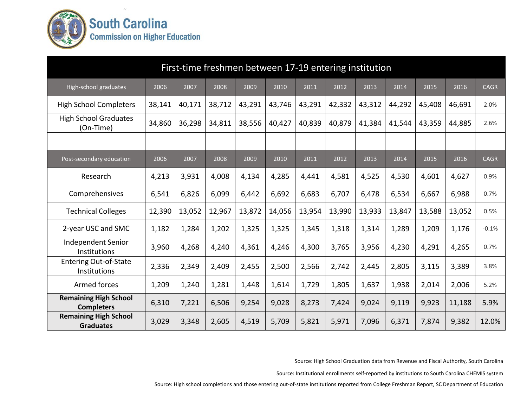

|                                                   |        |        | First-time freshmen between 17-19 entering institution |        |        |        |        |        |        |        |        |             |
|---------------------------------------------------|--------|--------|--------------------------------------------------------|--------|--------|--------|--------|--------|--------|--------|--------|-------------|
| High-school graduates                             | 2006   | 2007   | 2008                                                   | 2009   | 2010   | 2011   | 2012   | 2013   | 2014   | 2015   | 2016   | <b>CAGR</b> |
| <b>High School Completers</b>                     | 38,141 | 40,171 | 38,712                                                 | 43,291 | 43,746 | 43,291 | 42,332 | 43,312 | 44,292 | 45,408 | 46,691 | 2.0%        |
| <b>High School Graduates</b><br>(On-Time)         | 34,860 | 36,298 | 34,811                                                 | 38,556 | 40,427 | 40,839 | 40,879 | 41,384 | 41,544 | 43,359 | 44,885 | 2.6%        |
|                                                   |        |        |                                                        |        |        |        |        |        |        |        |        |             |
| Post-secondary education                          | 2006   | 2007   | 2008                                                   | 2009   | 2010   | 2011   | 2012   | 2013   | 2014   | 2015   | 2016   | <b>CAGR</b> |
| Research                                          | 4,213  | 3,931  | 4,008                                                  | 4,134  | 4,285  | 4,441  | 4,581  | 4,525  | 4,530  | 4,601  | 4,627  | 0.9%        |
| Comprehensives                                    | 6,541  | 6,826  | 6,099                                                  | 6,442  | 6,692  | 6,683  | 6,707  | 6,478  | 6,534  | 6,667  | 6,988  | 0.7%        |
| <b>Technical Colleges</b>                         | 12,390 | 13,052 | 12,967                                                 | 13,872 | 14,056 | 13,954 | 13,990 | 13,933 | 13,847 | 13,588 | 13,052 | 0.5%        |
| 2-year USC and SMC                                | 1,182  | 1,284  | 1,202                                                  | 1,325  | 1,325  | 1,345  | 1,318  | 1,314  | 1,289  | 1,209  | 1,176  | $-0.1%$     |
| <b>Independent Senior</b><br>Institutions         | 3,960  | 4,268  | 4,240                                                  | 4,361  | 4,246  | 4,300  | 3,765  | 3,956  | 4,230  | 4,291  | 4,265  | 0.7%        |
| <b>Entering Out-of-State</b><br>Institutions      | 2,336  | 2,349  | 2,409                                                  | 2,455  | 2,500  | 2,566  | 2,742  | 2,445  | 2,805  | 3,115  | 3,389  | 3.8%        |
| Armed forces                                      | 1,209  | 1,240  | 1,281                                                  | 1,448  | 1,614  | 1,729  | 1,805  | 1,637  | 1,938  | 2,014  | 2,006  | 5.2%        |
| <b>Remaining High School</b><br><b>Completers</b> | 6,310  | 7,221  | 6,506                                                  | 9,254  | 9,028  | 8,273  | 7,424  | 9,024  | 9,119  | 9,923  | 11,188 | 5.9%        |
| <b>Remaining High School</b><br><b>Graduates</b>  | 3,029  | 3,348  | 2,605                                                  | 4,519  | 5,709  | 5,821  | 5,971  | 7,096  | 6,371  | 7,874  | 9,382  | 12.0%       |

Source: High School Graduation data from Revenue and Fiscal Authority, South Carolina

Source: Institutional enrollments self-reported by institutions to South Carolina CHEMIS system

Source: High school completions and those entering out-of-state institutions reported from College Freshman Report, SC Department of Education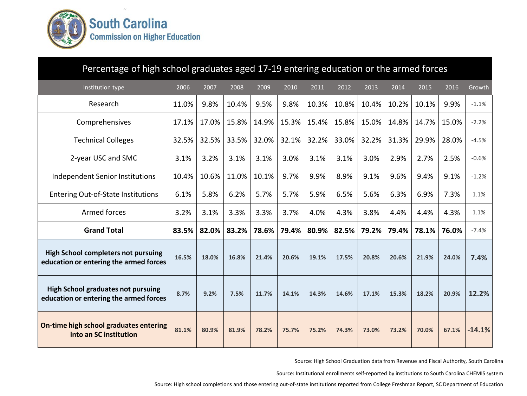

| Percentage of high school graduates aged 17-19 entering education or the armed forces |       |       |       |       |       |       |       |       |       |       |       |          |
|---------------------------------------------------------------------------------------|-------|-------|-------|-------|-------|-------|-------|-------|-------|-------|-------|----------|
| Institution type                                                                      | 2006  | 2007  | 2008  | 2009  | 2010  | 2011  | 2012  | 2013  | 2014  | 2015  | 2016  | Growth   |
| Research                                                                              | 11.0% | 9.8%  | 10.4% | 9.5%  | 9.8%  | 10.3% | 10.8% | 10.4% | 10.2% | 10.1% | 9.9%  | $-1.1%$  |
| Comprehensives                                                                        | 17.1% | 17.0% | 15.8% | 14.9% | 15.3% | 15.4% | 15.8% | 15.0% | 14.8% | 14.7% | 15.0% | $-2.2%$  |
| <b>Technical Colleges</b>                                                             | 32.5% | 32.5% | 33.5% | 32.0% | 32.1% | 32.2% | 33.0% | 32.2% | 31.3% | 29.9% | 28.0% | $-4.5%$  |
| 2-year USC and SMC                                                                    | 3.1%  | 3.2%  | 3.1%  | 3.1%  | 3.0%  | 3.1%  | 3.1%  | 3.0%  | 2.9%  | 2.7%  | 2.5%  | $-0.6%$  |
| <b>Independent Senior Institutions</b>                                                | 10.4% | 10.6% | 11.0% | 10.1% | 9.7%  | 9.9%  | 8.9%  | 9.1%  | 9.6%  | 9.4%  | 9.1%  | $-1.2%$  |
| <b>Entering Out-of-State Institutions</b>                                             | 6.1%  | 5.8%  | 6.2%  | 5.7%  | 5.7%  | 5.9%  | 6.5%  | 5.6%  | 6.3%  | 6.9%  | 7.3%  | 1.1%     |
| Armed forces                                                                          | 3.2%  | 3.1%  | 3.3%  | 3.3%  | 3.7%  | 4.0%  | 4.3%  | 3.8%  | 4.4%  | 4.4%  | 4.3%  | 1.1%     |
| <b>Grand Total</b>                                                                    | 83.5% | 82.0% | 83.2% | 78.6% | 79.4% | 80.9% | 82.5% | 79.2% | 79.4% | 78.1% | 76.0% | $-7.4%$  |
| <b>High School completers not pursuing</b><br>education or entering the armed forces  | 16.5% | 18.0% | 16.8% | 21.4% | 20.6% | 19.1% | 17.5% | 20.8% | 20.6% | 21.9% | 24.0% | 7.4%     |
| <b>High School graduates not pursuing</b><br>education or entering the armed forces   | 8.7%  | 9.2%  | 7.5%  | 11.7% | 14.1% | 14.3% | 14.6% | 17.1% | 15.3% | 18.2% | 20.9% | 12.2%    |
| On-time high school graduates entering<br>into an SC institution                      | 81.1% | 80.9% | 81.9% | 78.2% | 75.7% | 75.2% | 74.3% | 73.0% | 73.2% | 70.0% | 67.1% | $-14.1%$ |

Source: High School Graduation data from Revenue and Fiscal Authority, South Carolina

Source: Institutional enrollments self-reported by institutions to South Carolina CHEMIS system

Source: High school completions and those entering out-of-state institutions reported from College Freshman Report, SC Department of Education